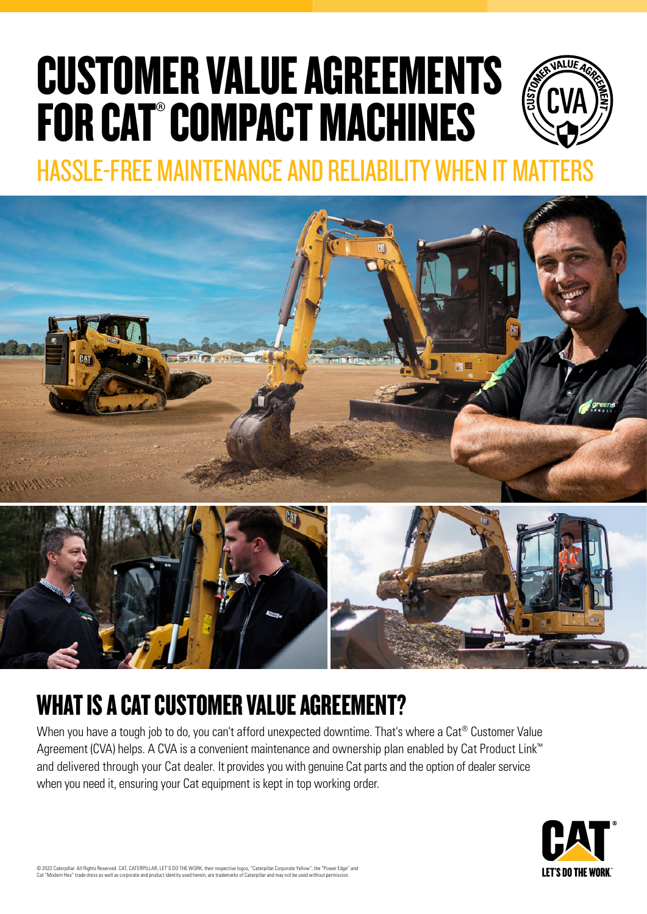# CUSTOMER VALUE AGREEMENTS FOR CAT®COMPACT MACHINES



HASSLE-FREE MAINTENANCE AND RELIABILITY WHEN IT MA





## WHAT IS A CAT CUSTOMER VALUE AGREEMENT?

When you have a tough job to do, you can't afford unexpected downtime. That's where a Cat® Customer Value Agreement (CVA) helps. A CVA is a convenient maintenance and ownership plan enabled by Cat Product Link™ and delivered through your Cat dealer. It provides you with genuine Cat parts and the option of dealer service when you need it, ensuring your Cat equipment is kept in top working order.



© 2022 Caterpillar. All Rights Reserved. CAT, CATERPILLAR, LET'S DO THE WORK, their respective logos, "Caterpillar Corporate Yellow", the "Power Edge" and<br>Cat "Modern Hex" trade dress as well as corporate and product ident